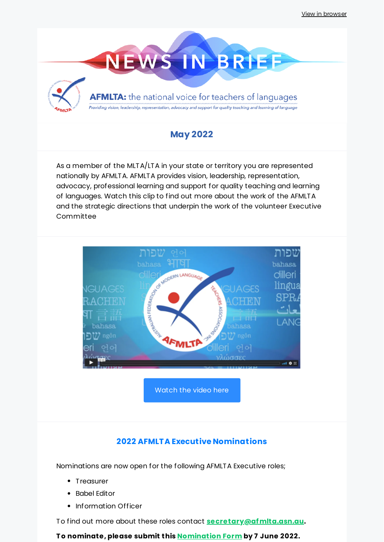

# **May 2022**

As a member of the MLTA/LTA in your state or territory you are represented nationally by AFMLTA. AFMLTA provides vision, leadership, representation, advocacy, professional learning and support for quality teaching and learning of languages. Watch this clip to find out more about the work of the AFMLTA and the strategic directions that underpin the work of the volunteer Executive Committee



[Watch](https://afmlta.asn.au/) the video here

### **2022 AFMLTA Executive Nominations**

Nominations are now open for the following AFMLTA Executive roles;

- Treasurer
- Babel Editor
- Information Officer

To find out more about these roles contact **[secretary@afmlta.asn.au.](mailto:secretary@afmlta.asn.au)**

**To nominate, please submit this [Nomination](https://afmlta.asn.au/wp-content/uploads/2022/03/AFMLTA-Executive-Nomination-Form-2022.docx) Form by 7 June 2022.**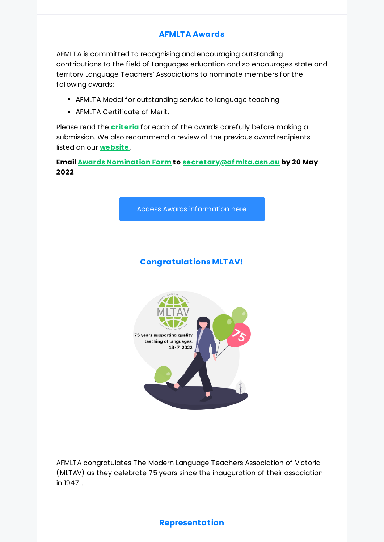#### **AFMLTA Awards**

AFMLTA is committed to recognising and encouraging outstanding contributions to the field of Languages education and so encourages state and territory Language Teachers' Associations to nominate members for the following awards:

- AFMLTA Medal for outstanding service to language teaching
- AFMLTA Certificate of Merit.

Please read the **[criteria](https://afmlta.asn.au/wp-content/uploads/2022/05/Information-on-AFMLTA-Awards-2022.pdf)** for each of the awards carefully before making a submission. We also recommend a review of the previous award recipients listed on our **[website](https://afmlta.asn.au/awards/)**.

**Email Awards [Nomination](https://afmlta.asn.au/wp-content/uploads/2022/03/AFMLTA-Awards-nomination-form.docx) Form to [secretary@afmlta.asn.au](mailto:secretary@afmlta.asn.au) by 20 May 2022**

Access Awards [information](https://afmlta.asn.au/awards/) here

# **Congratulations MLTAV!**



AFMLTA congratulates The Modern Language Teachers Association of Victoria (MLTAV) as they celebrate 75 years since the inauguration of their association in 1947 .

### **Representation**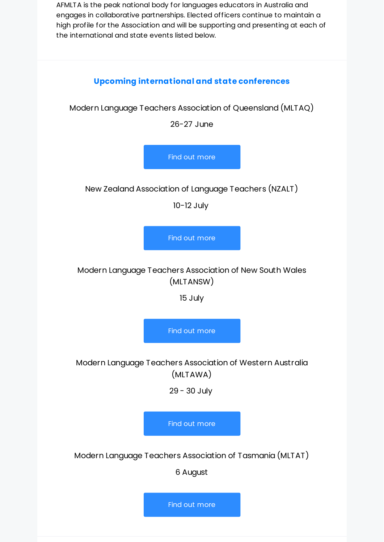AFMLTA is the peak national body for languages educators in Australia and engages in collaborative partnerships. Elected officers continue to maintain a high profile for the Association and will be supporting and presenting at each of the international and state events listed below.



Modern Language Teachers Association of Western Australia (MLTAWA)

29 - 30 July

Find out [more](https://mltawa.asn.au/2022/04/2022-mltawa-biennial-state-conference/)

Modern Language Teachers Association of Tasmania (MLTAT)

6 August

Find out [more](https://mltat.asn.au/index.php/events/upcoming-conferences)